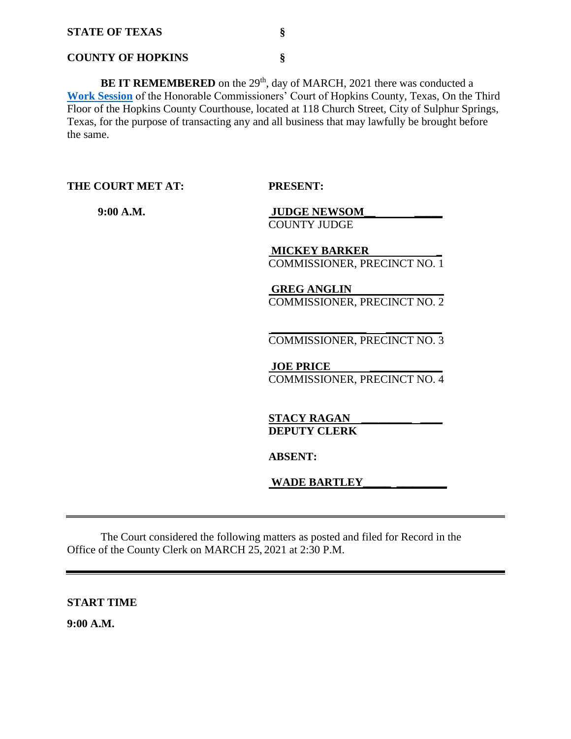#### **COUNTY OF HOPKINS §**

BE IT REMEMBERED on the 29<sup>th</sup>, day of MARCH, 2021 there was conducted a **[Work Session](Links%202021-03-29-Work/Agenda.pdf)** of the Honorable Commissioners' Court of Hopkins County, Texas, On the Third Floor of the Hopkins County Courthouse, located at 118 Church Street, City of Sulphur Springs, Texas, for the purpose of transacting any and all business that may lawfully be brought before the same.

**THE COURT MET AT: PRESENT:**

 **9:00 A.M. JUDGE NEWSOM\_\_ \_\_\_\_\_** COUNTY JUDGE

> **MICKEY BARKER \_**  COMMISSIONER, PRECINCT NO. 1

> **GREG ANGLIN**  COMMISSIONER, PRECINCT NO. 2

> **\_\_\_\_\_\_\_\_\_\_\_\_\_\_\_\_\_ \_\_\_\_\_\_\_\_\_\_** COMMISSIONER, PRECINCT NO. 3

**JOE PRICE** COMMISSIONER, PRECINCT NO. 4

**STACY RAGAN \_\_\_\_\_\_\_\_\_ \_\_\_\_ DEPUTY CLERK** 

**ABSENT:**

**WADE BARTLEY\_\_\_\_\_ \_\_\_\_\_\_\_\_\_** 

The Court considered the following matters as posted and filed for Record in the Office of the County Clerk on MARCH 25, 2021 at 2:30 P.M.

**START TIME**

**9:00 A.M.**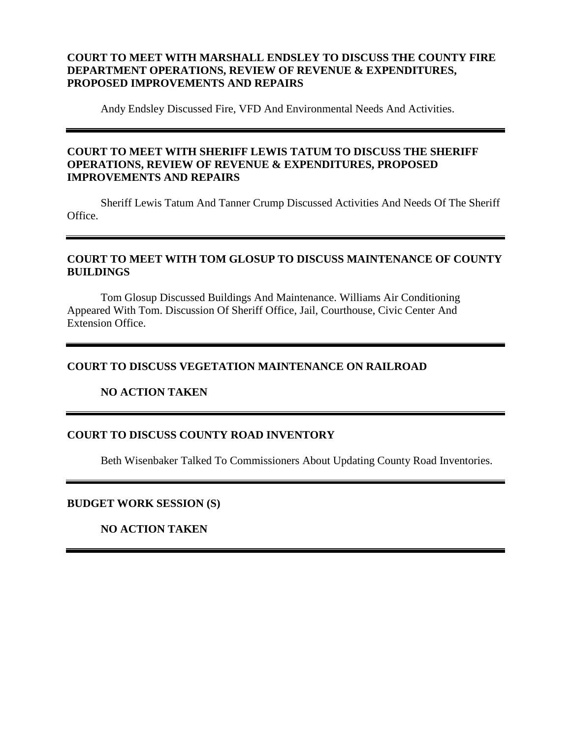## **COURT TO MEET WITH MARSHALL ENDSLEY TO DISCUSS THE COUNTY FIRE DEPARTMENT OPERATIONS, REVIEW OF REVENUE & EXPENDITURES, PROPOSED IMPROVEMENTS AND REPAIRS**

Andy Endsley Discussed Fire, VFD And Environmental Needs And Activities.

## **COURT TO MEET WITH SHERIFF LEWIS TATUM TO DISCUSS THE SHERIFF OPERATIONS, REVIEW OF REVENUE & EXPENDITURES, PROPOSED IMPROVEMENTS AND REPAIRS**

Sheriff Lewis Tatum And Tanner Crump Discussed Activities And Needs Of The Sheriff Office.

### **COURT TO MEET WITH TOM GLOSUP TO DISCUSS MAINTENANCE OF COUNTY BUILDINGS**

Tom Glosup Discussed Buildings And Maintenance. Williams Air Conditioning Appeared With Tom. Discussion Of Sheriff Office, Jail, Courthouse, Civic Center And Extension Office.

## **COURT TO DISCUSS VEGETATION MAINTENANCE ON RAILROAD**

#### **NO ACTION TAKEN**

## **COURT TO DISCUSS COUNTY ROAD INVENTORY**

Beth Wisenbaker Talked To Commissioners About Updating County Road Inventories.

#### **BUDGET WORK SESSION (S)**

**NO ACTION TAKEN**